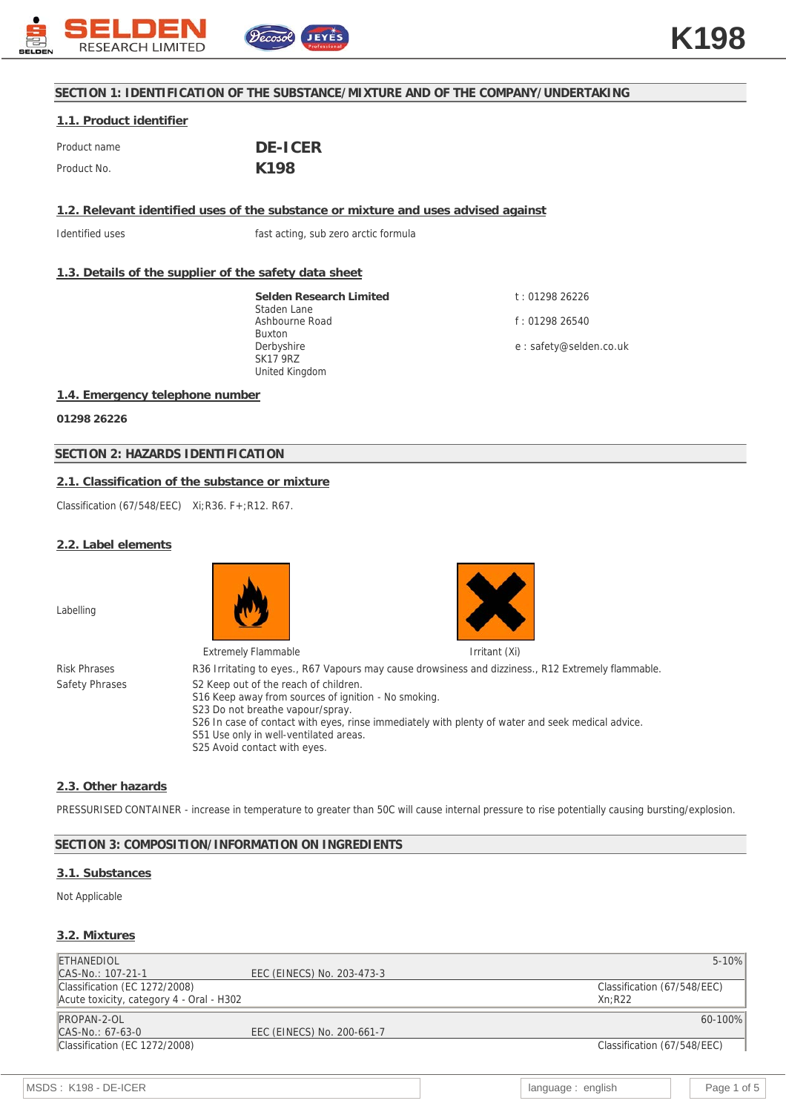

# **SECTION 1: IDENTIFICATION OF THE SUBSTANCE/MIXTURE AND OF THE COMPANY/UNDERTAKING**

## **1.1. Product identifier**

| Product name | DE-ICER |
|--------------|---------|
| Product No.  | K198    |

**1.2. Relevant identified uses of the substance or mixture and uses advised against**

Identified uses **fast acting**, sub zero arctic formula

## **1.3. Details of the supplier of the safety data sheet**

**Selden Research Limited** Staden Lane Ashbourne Road Buxton Derbyshire SK17 9RZ United Kingdom

t : 01298 26226 f : 01298 26540 e : safety@selden.co.uk

#### **1.4. Emergency telephone number**

**01298 26226**

## **SECTION 2: HAZARDS IDENTIFICATION**

## **2.1. Classification of the substance or mixture**

Classification (67/548/EEC) Xi;R36. F+;R12. R67.

#### **2.2. Label elements**

Labelling





Extremely Flammable **Internal and Transferred Article Internal Article Irritant (Xi)** Risk Phrases R36 Irritating to eyes., R67 Vapours may cause drowsiness and dizziness., R12 Extremely flammable. Safety Phrases S2 Keep out of the reach of children. S16 Keep away from sources of ignition - No smoking. S23 Do not breathe vapour/spray. S26 In case of contact with eyes, rinse immediately with plenty of water and seek medical advice. S51 Use only in well-ventilated areas. S25 Avoid contact with eyes.

## **2.3. Other hazards**

PRESSURISED CONTAINER - increase in temperature to greater than 50C will cause internal pressure to rise potentially causing bursting/explosion.

## **SECTION 3: COMPOSITION/INFORMATION ON INGREDIENTS**

## **3.1. Substances**

#### Not Applicable

#### **3.2. Mixtures**

| <b>ETHANEDIOL</b>                        |                            | $5 - 10%$                   |
|------------------------------------------|----------------------------|-----------------------------|
| CAS-No.: 107-21-1                        | EEC (EINECS) No. 203-473-3 |                             |
| Classification (EC 1272/2008)            |                            | Classification (67/548/EEC) |
| Acute toxicity, category 4 - Oral - H302 |                            | Xn:R22                      |
| PROPAN-2-OL                              |                            | 60-100%                     |
| CAS-No.: 67-63-0                         | EEC (EINECS) No. 200-661-7 |                             |
| Classification (EC 1272/2008)            |                            | Classification (67/548/EEC) |
|                                          |                            |                             |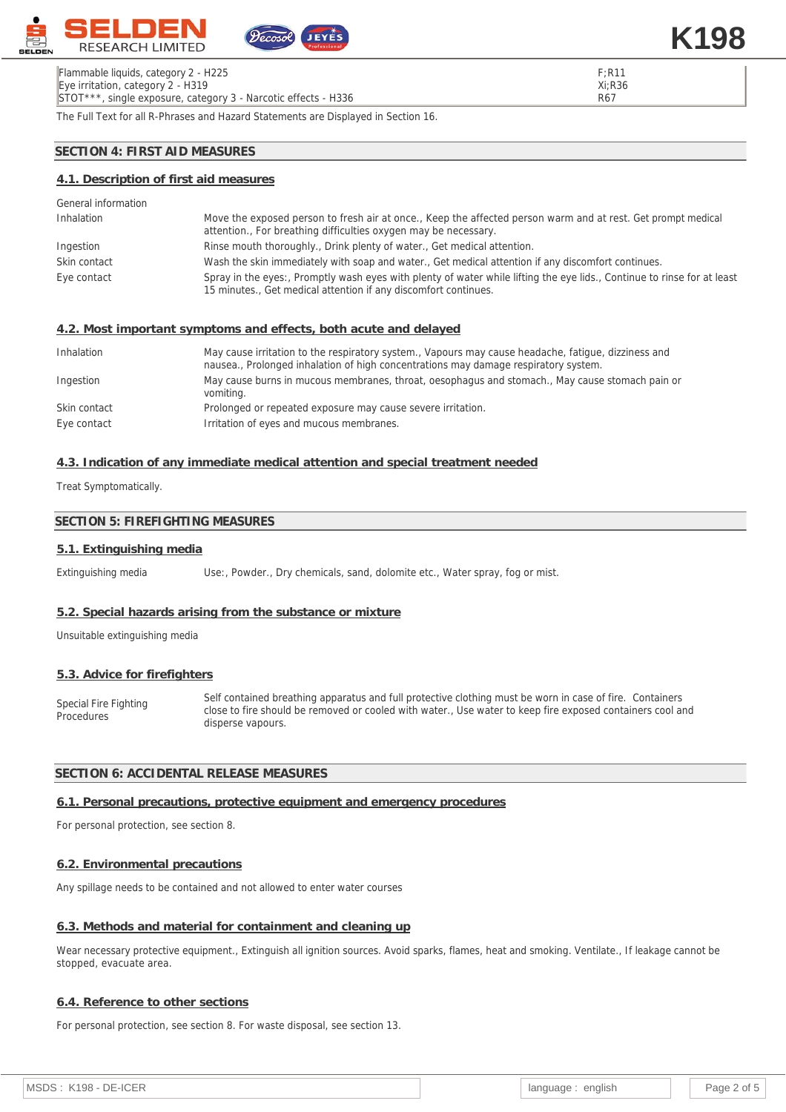

The Full Text for all R-Phrases and Hazard Statements are Displayed in Section 16.

## **SECTION 4: FIRST AID MEASURES**

## **4.1. Description of first aid measures**

| General information |                                                                                                                                                                                            |
|---------------------|--------------------------------------------------------------------------------------------------------------------------------------------------------------------------------------------|
| Inhalation          | Move the exposed person to fresh air at once., Keep the affected person warm and at rest. Get prompt medical<br>attention., For breathing difficulties oxygen may be necessary.            |
| Ingestion           | Rinse mouth thoroughly., Drink plenty of water., Get medical attention.                                                                                                                    |
| Skin contact        | Wash the skin immediately with soap and water., Get medical attention if any discomfort continues.                                                                                         |
| Eye contact         | Spray in the eyes:, Promptly wash eyes with plenty of water while lifting the eye lids., Continue to rinse for at least<br>15 minutes., Get medical attention if any discomfort continues. |
|                     | 4.2. Most important symptoms and effects, both acute and delayed                                                                                                                           |
| Inhalation          | May cause irritation to the respiratory system., Vapours may cause headache, fatique, dizziness and<br>nausea., Prolonged inhalation of high concentrations may damage respiratory system. |
| Ingestion           | May cause burns in mucous membranes, throat, oesophagus and stomach., May cause stomach pain or                                                                                            |

|              | vomiting.                                                   |
|--------------|-------------------------------------------------------------|
| Skin contact | Prolonged or repeated exposure may cause severe irritation. |
| Eye contact  | Irritation of eyes and mucous membranes.                    |

## **4.3. Indication of any immediate medical attention and special treatment needed**

Treat Symptomatically.

## **SECTION 5: FIREFIGHTING MEASURES**

#### **5.1. Extinguishing media**

Extinguishing media Use:, Powder., Dry chemicals, sand, dolomite etc., Water spray, fog or mist.

#### **5.2. Special hazards arising from the substance or mixture**

Unsuitable extinguishing media

#### **5.3. Advice for firefighters**

Special Fire Fighting **Procedures** Self contained breathing apparatus and full protective clothing must be worn in case of fire. Containers close to fire should be removed or cooled with water., Use water to keep fire exposed containers cool and disperse vapours.

## **SECTION 6: ACCIDENTAL RELEASE MEASURES**

## **6.1. Personal precautions, protective equipment and emergency procedures**

For personal protection, see section 8.

#### **6.2. Environmental precautions**

Any spillage needs to be contained and not allowed to enter water courses

#### **6.3. Methods and material for containment and cleaning up**

Wear necessary protective equipment., Extinguish all ignition sources. Avoid sparks, flames, heat and smoking. Ventilate., If leakage cannot be stopped, evacuate area.

#### **6.4. Reference to other sections**

For personal protection, see section 8. For waste disposal, see section 13.

F;R11 Xi;R36 R67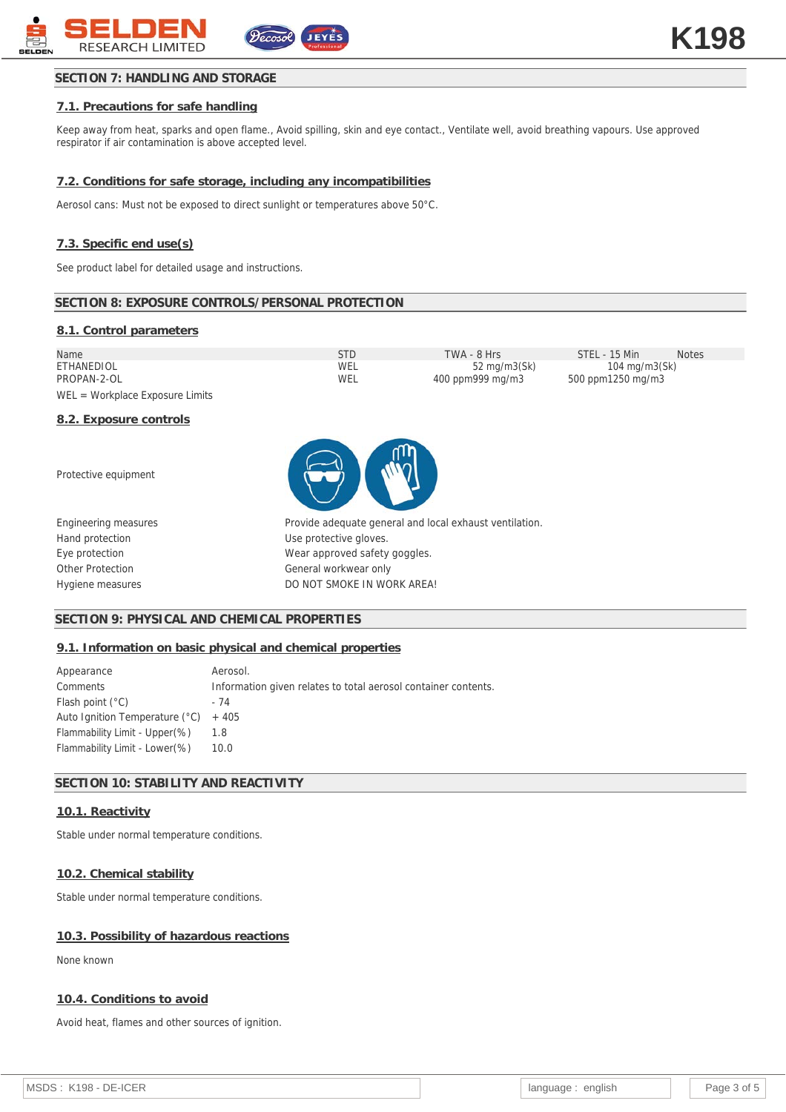## **SECTION 7: HANDLING AND STORAGE**

## **7.1. Precautions for safe handling**

Keep away from heat, sparks and open flame., Avoid spilling, skin and eye contact., Ventilate well, avoid breathing vapours. Use approved respirator if air contamination is above accepted level.

#### **7.2. Conditions for safe storage, including any incompatibilities**

Aerosol cans: Must not be exposed to direct sunlight or temperatures above 50°C.

#### **7.3. Specific end use(s)**

See product label for detailed usage and instructions.

#### **SECTION 8: EXPOSURE CONTROLS/PERSONAL PROTECTION**

#### **8.1. Control parameters**

| Name                              | STD | TWA - 8 Hrs      | STFL - 15 Min     | <b>Notes</b> |
|-----------------------------------|-----|------------------|-------------------|--------------|
| ETHANEDIOL                        | WEL | 52 mg/m3(Sk)     | 104 mg/m3(Sk)     |              |
| PROPAN-2-OL                       | WEL | 400 ppm999 mg/m3 | 500 ppm1250 mg/m3 |              |
| $WEL = Workplace Exposure Limits$ |     |                  |                   |              |

#### **8.2. Exposure controls**

Protective equipment

Engineering measures Hand protection Eye protection Other Protection Hygiene measures



| Provide adequate general and local exhaust ventilation. |
|---------------------------------------------------------|
| Use protective gloves.                                  |
| Wear approved safety goggles.                           |
| General workwear only                                   |
| DO NOT SMOKE IN WORK AREA!                              |

#### **SECTION 9: PHYSICAL AND CHEMICAL PROPERTIES**

#### **9.1. Information on basic physical and chemical properties**

| Appearance                             | Aerosol.                                                       |
|----------------------------------------|----------------------------------------------------------------|
| Comments                               | Information given relates to total aerosol container contents. |
| Flash point $(°C)$                     | - 74                                                           |
| Auto Ignition Temperature $(°C)$ + 405 |                                                                |
| Flammability Limit - Upper(%)          | 1.8                                                            |
| Flammability Limit - Lower (%)         | 10.0                                                           |

## **SECTION 10: STABILITY AND REACTIVITY**

## **10.1. Reactivity**

Stable under normal temperature conditions.

#### **10.2. Chemical stability**

Stable under normal temperature conditions.

#### **10.3. Possibility of hazardous reactions**

None known

#### **10.4. Conditions to avoid**

Avoid heat, flames and other sources of ignition.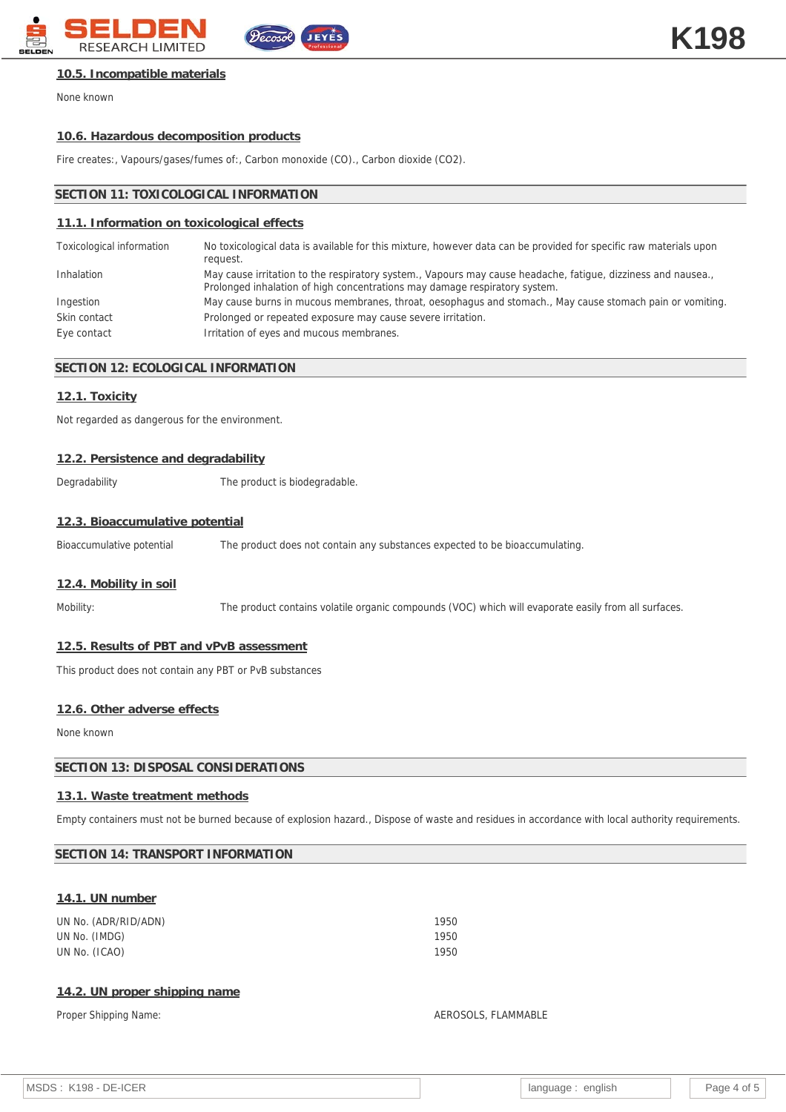

#### **10.5. Incompatible materials**

None known

#### **10.6. Hazardous decomposition products**

Fire creates:, Vapours/gases/fumes of:, Carbon monoxide (CO)., Carbon dioxide (CO2).

## **SECTION 11: TOXICOLOGICAL INFORMATION**

## **11.1. Information on toxicological effects**

| Toxicological information | No toxicological data is available for this mixture, however data can be provided for specific raw materials upon<br>request.                                                              |
|---------------------------|--------------------------------------------------------------------------------------------------------------------------------------------------------------------------------------------|
| Inhalation                | May cause irritation to the respiratory system., Vapours may cause headache, fatique, dizziness and nausea.,<br>Prolonged inhalation of high concentrations may damage respiratory system. |
| Ingestion                 | May cause burns in mucous membranes, throat, oesophagus and stomach., May cause stomach pain or vomiting.                                                                                  |
| Skin contact              | Prolonged or repeated exposure may cause severe irritation.                                                                                                                                |
| Eye contact               | Irritation of eyes and mucous membranes.                                                                                                                                                   |

#### **SECTION 12: ECOLOGICAL INFORMATION**

#### **12.1. Toxicity**

Not regarded as dangerous for the environment.

#### **12.2. Persistence and degradability**

Degradability The product is biodegradable.

#### **12.3. Bioaccumulative potential**

Bioaccumulative potential The product does not contain any substances expected to be bioaccumulating.

## **12.4. Mobility in soil**

Mobility: The product contains volatile organic compounds (VOC) which will evaporate easily from all surfaces.

#### **12.5. Results of PBT and vPvB assessment**

This product does not contain any PBT or PvB substances

#### **12.6. Other adverse effects**

None known

#### **SECTION 13: DISPOSAL CONSIDERATIONS**

#### **13.1. Waste treatment methods**

Empty containers must not be burned because of explosion hazard., Dispose of waste and residues in accordance with local authority requirements.

## **SECTION 14: TRANSPORT INFORMATION**

#### **14.1. UN number**

| UN No. (ADR/RID/ADN) | 1950 |
|----------------------|------|
| UN No. (IMDG)        | 1950 |
| UN No. (ICAO)        | 1950 |
|                      |      |

## **14.2. UN proper shipping name**

#### Proper Shipping Name: And The Shipping Name: AEROSOLS, FLAMMABLE

| MSDS: K198 - DE-ICER | language: english |  | Page 4 of 5 |
|----------------------|-------------------|--|-------------|
|----------------------|-------------------|--|-------------|